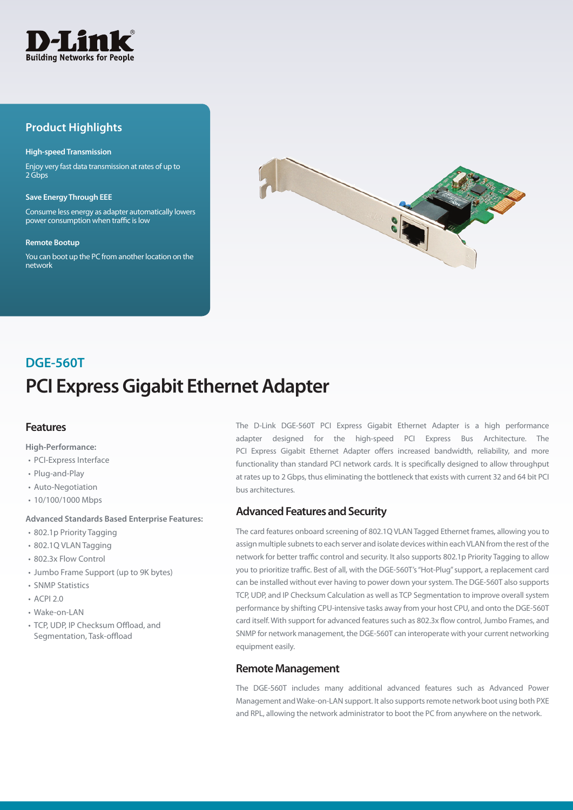

# **Product Highlights**

#### **High-speed Transmission**

Enjoy very fast data transmission at rates of up to 2 Gbps

#### **Save Energy Through EEE**

Consume less energy as adapter automatically lowers power consumption when traffic is low

#### **Remote Bootup**

You can boot up the PC from another location on the network



# **PCI Express Gigabit Ethernet Adapter DGE-560T**

## **Features**

**High-Performance:**

- PCI-Express Interface
- Plug-and-Play
- Auto-Negotiation
- 10/100/1000 Mbps

#### **Advanced Standards Based Enterprise Features:**

- 802.1p Priority Tagging
- 802.1Q VLAN Tagging
- 802.3x Flow Control
- Jumbo Frame Support (up to 9K bytes)
- SNMP Statistics
- $ACPI 20$
- Wake-on-LAN
- TCP, UDP, IP Checksum Offload, and Segmentation, Task-offload

The D-Link DGE-560T PCI Express Gigabit Ethernet Adapter is a high performance adapter designed for the high-speed PCI Express Bus Architecture. The PCI Express Gigabit Ethernet Adapter offers increased bandwidth, reliability, and more functionality than standard PCI network cards. It is specifically designed to allow throughput at rates up to 2 Gbps, thus eliminating the bottleneck that exists with current 32 and 64 bit PCI bus architectures.

## **Advanced Features and Security**

The card features onboard screening of 802.1Q VLAN Tagged Ethernet frames, allowing you to assign multiple subnets to each server and isolate devices within each VLAN from the rest of the network for better traffic control and security. It also supports 802.1p Priority Tagging to allow you to prioritize traffic. Best of all, with the DGE-560T's "Hot-Plug" support, a replacement card can be installed without ever having to power down your system. The DGE-560T also supports TCP, UDP, and IP Checksum Calculation as well as TCP Segmentation to improve overall system performance by shifting CPU-intensive tasks away from your host CPU, and onto the DGE-560T card itself. With support for advanced features such as 802.3x flow control, Jumbo Frames, and SNMP for network management, the DGE-560T can interoperate with your current networking equipment easily.

#### **Remote Management**

The DGE-560T includes many additional advanced features such as Advanced Power Management and Wake-on-LAN support. It also supports remote network boot using both PXE and RPL, allowing the network administrator to boot the PC from anywhere on the network.